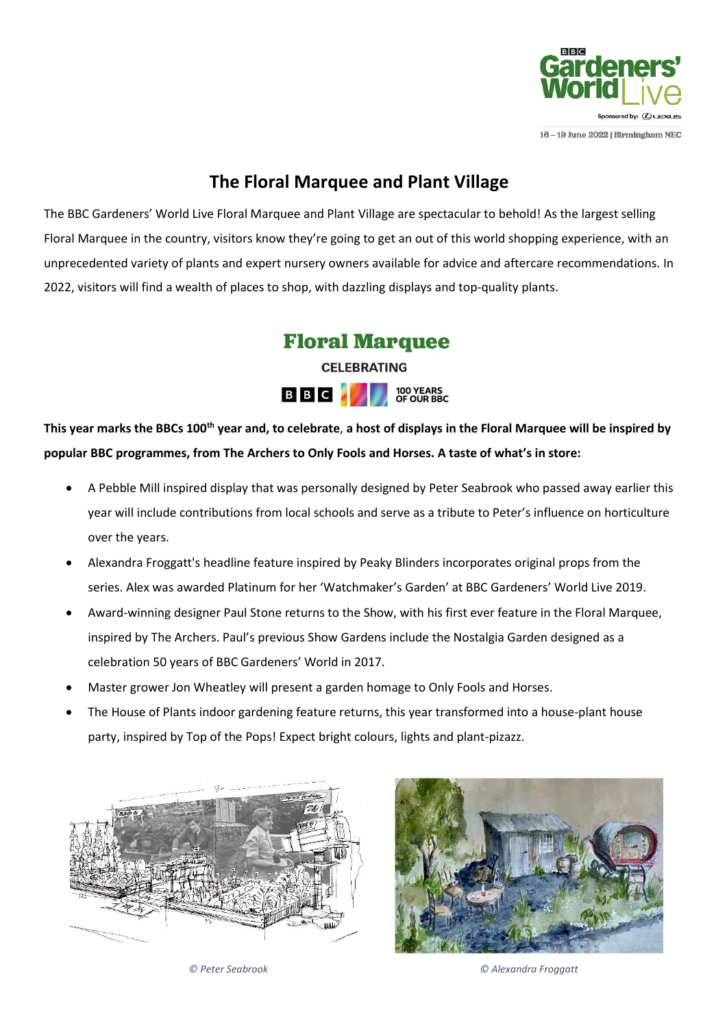

16 - 19 June 2022 | Birmingham NEC

# **The Floral Marquee and Plant Village**

The BBC Gardeners' World Live Floral Marquee and Plant Village are spectacular to behold! As the largest selling Floral Marquee in the country, visitors know they're going to get an out of this world shopping experience, with an unprecedented variety of plants and expert nursery owners available for advice and aftercare recommendations. In 2022, visitors will find a wealth of places to shop, with dazzling displays and top-quality plants.



**This year marks the BBCs 100th year and, to celebrate**, **a host of displays in the Floral Marquee will be inspired by popular BBC programmes, from The Archers to Only Fools and Horses. A taste of what's in store:**

- A Pebble Mill inspired display that was personally designed by Peter Seabrook who passed away earlier this year will include contributions from local schools and serve as a tribute to Peter's influence on horticulture over the years.
- Alexandra Froggatt's headline feature inspired by Peaky Blinders incorporates original props from the series. Alex was awarded Platinum for her 'Watchmaker's Garden' at BBC Gardeners' World Live 2019.
- Award-winning designer Paul Stone returns to the Show, with his first ever feature in the Floral Marquee, inspired by The Archers. Paul's previous Show Gardens include the Nostalgia Garden designed as a celebration 50 years of BBC Gardeners' World in 2017.
- Master grower Jon Wheatley will present a garden homage to Only Fools and Horses.
- The House of Plants indoor gardening feature returns, this year transformed into a house-plant house party, inspired by Top of the Pops! Expect bright colours, lights and plant-pizazz.





*© Peter Seabrook © Alexandra Froggatt*